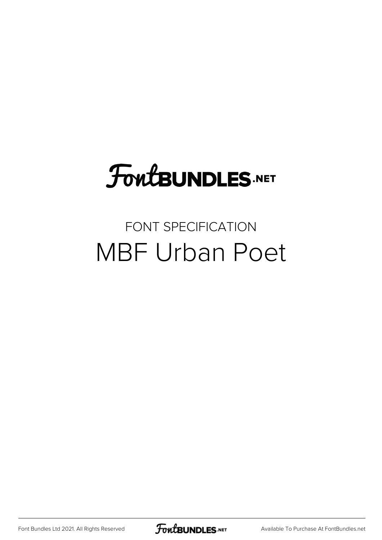## FoutBUNDLES.NET

#### FONT SPECIFICATION MBF Urban Poet

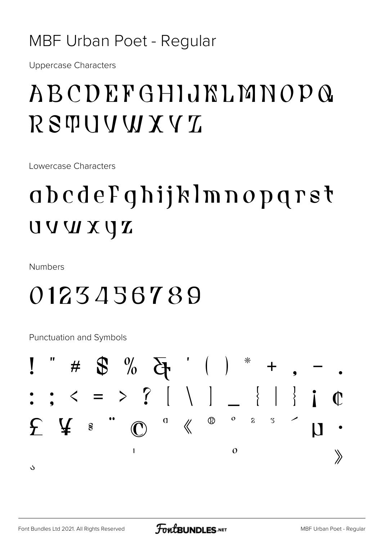#### **MBF Urban Poet - Regular**

**Uppercase Characters** 

#### ABCDEFGHIJKLMNOPQ **RSTUUWXVZ**

Lowercase Characters

### abcdeFghijklmnopgrst NUVVU

**Numbers** 

#### 0123456789

**Punctuation and Symbols** 

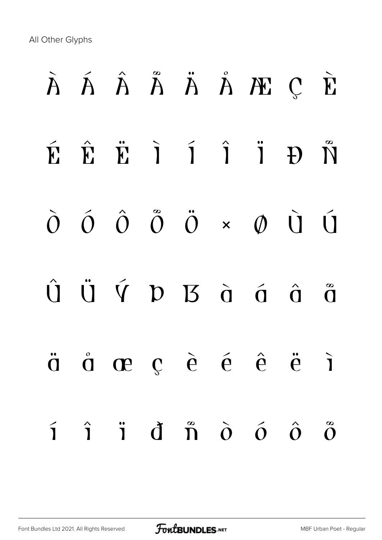All Other Glyphs

# À Á Â Ã Ä Å Æ Ç È É Ê Ë Ì Í Î Ï Ð Ñ Ò Ó Ô Õ Ö × Ø Ù Ú  $\hat{U}$   $\ddot{U}$   $\acute{V}$   $D$   $B$   $\dot{G}$   $\acute{G}$   $\acute{G}$   $\ddot{G}$ ä å æ ç è é ê ë ì í î ï ð ñ ò ó ô õ